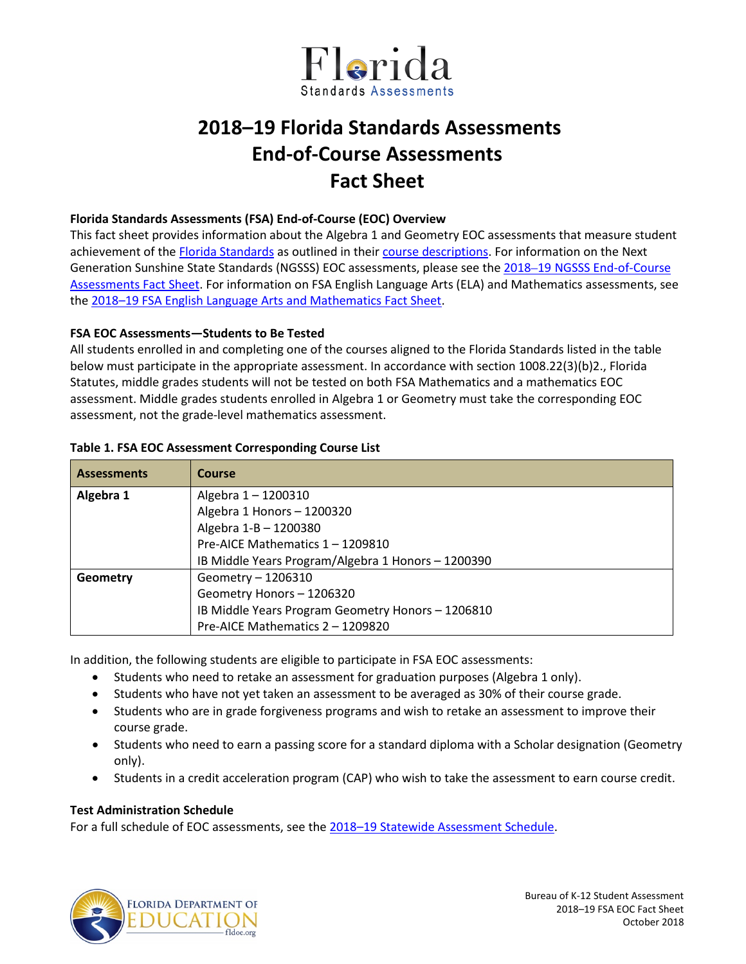

# **2018–19 Florida Standards Assessments End-of-Course Assessments Fact Sheet**

#### **Florida Standards Assessments (FSA) End-of-Course (EOC) Overview**

This fact sheet provides information about the Algebra 1 and Geometry EOC assessments that measure student achievement of the [Florida Standards](http://www.cpalms.org/Public/) as outlined in their [course descriptions.](http://www.cpalms.org/Public/search/Course#0) For information on the Next Generation Sunshine State Standards (NGSSS) EOC assessments, please see the 2018–19 [NGSSS End-of-Course](http://www.fldoe.org/core/fileparse.php/5662/urlt/NGSSSEOCFS1819.pdf)  [Assessments Fact Sheet.](http://www.fldoe.org/core/fileparse.php/5662/urlt/NGSSSEOCFS1819.pdf) For information on FSA English Language Arts (ELA) and Mathematics assessments, see the [2018–19 FSA English Language Arts and Mathematics Fact Sheet.](http://www.fldoe.org/core/fileparse.php/5663/urlt/FSAELA-MathFS1819.pdf)

## **FSA EOC Assessments—Students to Be Tested**

All students enrolled in and completing one of the courses aligned to the Florida Standards listed in the table below must participate in the appropriate assessment. In accordance with section 1008.22(3)(b)2., Florida Statutes, middle grades students will not be tested on both FSA Mathematics and a mathematics EOC assessment. Middle grades students enrolled in Algebra 1 or Geometry must take the corresponding EOC assessment, not the grade-level mathematics assessment.

| <b>Assessments</b> | Course                                             |
|--------------------|----------------------------------------------------|
| Algebra 1          | Algebra 1 - 1200310                                |
|                    | Algebra 1 Honors - 1200320                         |
|                    | Algebra 1-B - 1200380                              |
|                    | Pre-AICE Mathematics 1 - 1209810                   |
|                    | IB Middle Years Program/Algebra 1 Honors - 1200390 |
| Geometry           | Geometry - 1206310                                 |
|                    | Geometry Honors - 1206320                          |
|                    | IB Middle Years Program Geometry Honors - 1206810  |
|                    | Pre-AICE Mathematics 2 - 1209820                   |

## **Table 1. FSA EOC Assessment Corresponding Course List**

In addition, the following students are eligible to participate in FSA EOC assessments:

- Students who need to retake an assessment for graduation purposes (Algebra 1 only).
- Students who have not yet taken an assessment to be averaged as 30% of their course grade.
- Students who are in grade forgiveness programs and wish to retake an assessment to improve their course grade.
- Students who need to earn a passing score for a standard diploma with a Scholar designation (Geometry only).
- Students in a credit acceleration program (CAP) who wish to take the assessment to earn course credit.

## **Test Administration Schedule**

For a full schedule of EOC assessments, see the [2018–19 Statewide Assessment Schedule.](https://info.fldoe.org/docushare/dsweb/Get/Document-7973/dps-2017-84b.pdf)

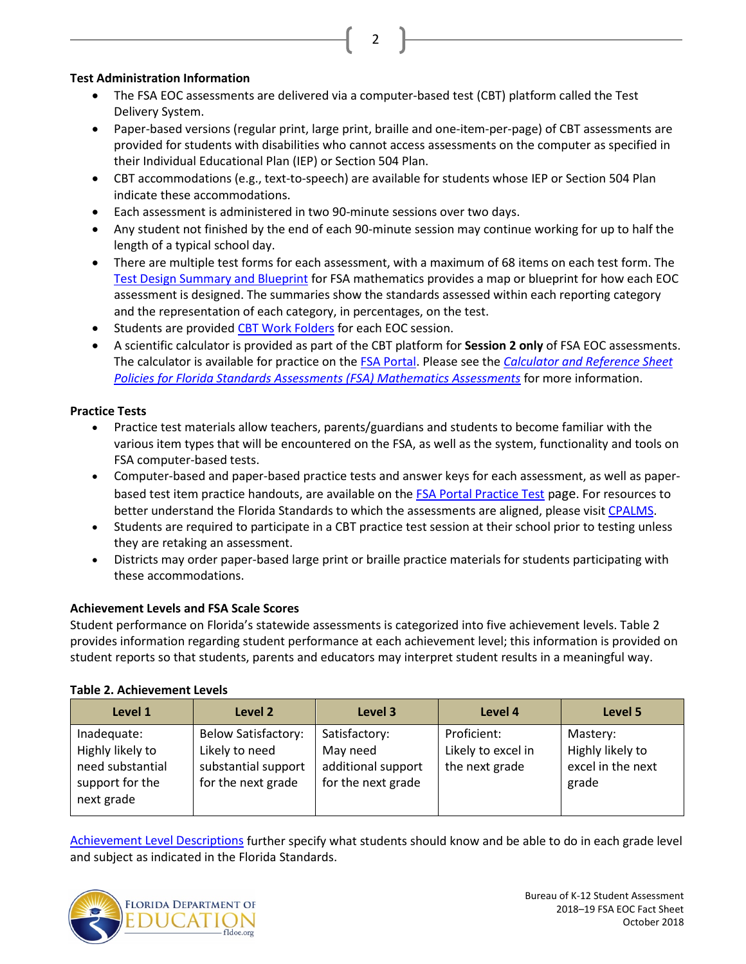## **Test Administration Information**

• The FSA EOC assessments are delivered via a computer-based test (CBT) platform called the Test Delivery System.

2

- Paper-based versions (regular print, large print, braille and one-item-per-page) of CBT assessments are provided for students with disabilities who cannot access assessments on the computer as specified in their Individual Educational Plan (IEP) or Section 504 Plan.
- CBT accommodations (e.g., text-to-speech) are available for students whose IEP or Section 504 Plan indicate these accommodations.
- Each assessment is administered in two 90-minute sessions over two days.
- Any student not finished by the end of each 90-minute session may continue working for up to half the length of a typical school day.
- There are multiple test forms for each assessment, with a maximum of 68 items on each test form. The [Test Design Summary and Blueprint](https://fsassessments.org/about-the-fsas.stml) for FSA mathematics provides a map or blueprint for how each EOC assessment is designed. The summaries show the standards assessed within each reporting category and the representation of each category, in percentages, on the test.
- Students are provided [CBT Work Folders](https://fsassessments.org/core/fileparse.php/3031/urlt/FSA_SP18_CBT-Work-Folder_BL1_FDOE.pdf) for each EOC session.
- A scientific calculator is provided as part of the CBT platform for **Session 2 only** of FSA EOC assessments. The calculator is available for practice on the [FSA Portal.](http://www.fsassessments.org/) Please see the *[Calculator and Reference Sheet](http://www.fldoe.org/core/fileparse.php/5663/urlt/FSACalcRefSheetPolicy.pdf)  [Policies for Florida Standards Assessments \(FSA\) Mathematics Assessments](http://www.fldoe.org/core/fileparse.php/5663/urlt/FSACalcRefSheetPolicy.pdf)* for more information.

# **Practice Tests**

- Practice test materials allow teachers, parents/guardians and students to become familiar with the various item types that will be encountered on the FSA, as well as the system, functionality and tools on FSA computer-based tests.
- Computer-based and paper-based practice tests and answer keys for each assessment, as well as paperbased test item practice handouts, are available on the [FSA Portal Practice Test](https://fsassessments.org/students-and-families/practice-tests/index.stml) page. For resources to better understand the Florida Standards to which the assessments are aligned, please visi[t CPALMS.](http://www.cpalms.org/Public/)
- Students are required to participate in a CBT practice test session at their school prior to testing unless they are retaking an assessment.
- Districts may order paper-based large print or braille practice materials for students participating with these accommodations.

# **Achievement Levels and FSA Scale Scores**

Student performance on Florida's statewide assessments is categorized into five achievement levels. Table 2 provides information regarding student performance at each achievement level; this information is provided on student reports so that students, parents and educators may interpret student results in a meaningful way.

## **Table 2. Achievement Levels**

| Level 1                                                                              | Level 2                                                                                   | Level 3                                                               | Level 4                                             | Level 5                                                    |
|--------------------------------------------------------------------------------------|-------------------------------------------------------------------------------------------|-----------------------------------------------------------------------|-----------------------------------------------------|------------------------------------------------------------|
| Inadequate:<br>Highly likely to<br>need substantial<br>support for the<br>next grade | <b>Below Satisfactory:</b><br>Likely to need<br>substantial support<br>for the next grade | Satisfactory:<br>May need<br>additional support<br>for the next grade | Proficient:<br>Likely to excel in<br>the next grade | Mastery:<br>Highly likely to<br>excel in the next<br>grade |

[Achievement Level Descriptions](http://www.fldoe.org/core/fileparse.php/5663/urlt/2015FSARangeSummary.pdf) further specify what students should know and be able to do in each grade level and subject as indicated in the Florida Standards.